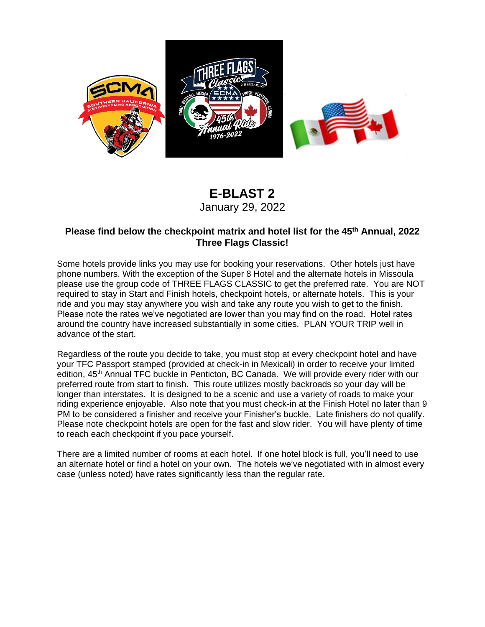

## **E-BLAST 2** January 29, 2022

### **Please find below the checkpoint matrix and hotel list for the 45th Annual, 2022 Three Flags Classic!**

Some hotels provide links you may use for booking your reservations. Other hotels just have phone numbers. With the exception of the Super 8 Hotel and the alternate hotels in Missoula please use the group code of THREE FLAGS CLASSIC to get the preferred rate. You are NOT required to stay in Start and Finish hotels, checkpoint hotels, or alternate hotels. This is your ride and you may stay anywhere you wish and take any route you wish to get to the finish. Please note the rates we've negotiated are lower than you may find on the road. Hotel rates around the country have increased substantially in some cities. PLAN YOUR TRIP well in advance of the start.

Regardless of the route you decide to take, you must stop at every checkpoint hotel and have your TFC Passport stamped (provided at check-in in Mexicali) in order to receive your limited edition, 45<sup>th</sup> Annual TFC buckle in Penticton, BC Canada. We will provide every rider with our preferred route from start to finish. This route utilizes mostly backroads so your day will be longer than interstates. It is designed to be a scenic and use a variety of roads to make your riding experience enjoyable. Also note that you must check-in at the Finish Hotel no later than 9 PM to be considered a finisher and receive your Finisher's buckle. Late finishers do not qualify. Please note checkpoint hotels are open for the fast and slow rider. You will have plenty of time to reach each checkpoint if you pace yourself.

There are a limited number of rooms at each hotel. If one hotel block is full, you'll need to use an alternate hotel or find a hotel on your own. The hotels we've negotiated with in almost every case (unless noted) have rates significantly less than the regular rate.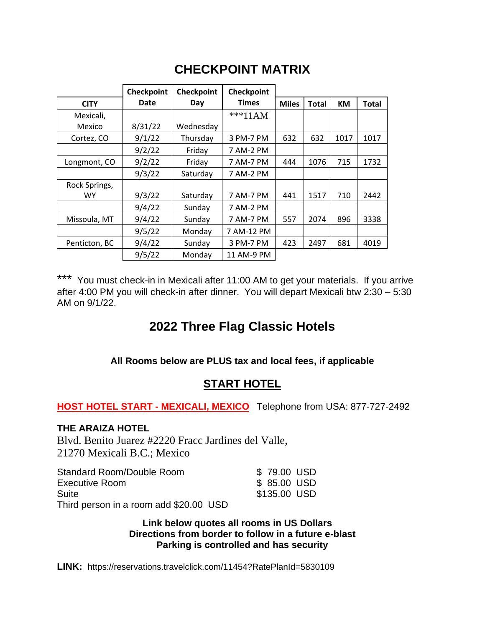# **CHECKPOINT MATRIX**

|               | Checkpoint | Checkpoint | Checkpoint   |              |              |           |              |
|---------------|------------|------------|--------------|--------------|--------------|-----------|--------------|
| <b>CITY</b>   | Date       | Day        | <b>Times</b> | <b>Miles</b> | <b>Total</b> | <b>KM</b> | <b>Total</b> |
| Mexicali,     |            |            | ***11AM      |              |              |           |              |
| Mexico        | 8/31/22    | Wednesday  |              |              |              |           |              |
| Cortez, CO    | 9/1/22     | Thursday   | 3 PM-7 PM    | 632          | 632          | 1017      | 1017         |
|               | 9/2/22     | Friday     | 7 AM-2 PM    |              |              |           |              |
| Longmont, CO  | 9/2/22     | Friday     | 7 AM-7 PM    | 444          | 1076         | 715       | 1732         |
|               | 9/3/22     | Saturday   | 7 AM-2 PM    |              |              |           |              |
| Rock Springs, |            |            |              |              |              |           |              |
| <b>WY</b>     | 9/3/22     | Saturday   | 7 AM-7 PM    | 441          | 1517         | 710       | 2442         |
|               | 9/4/22     | Sunday     | 7 AM-2 PM    |              |              |           |              |
| Missoula, MT  | 9/4/22     | Sunday     | 7 AM-7 PM    | 557          | 2074         | 896       | 3338         |
|               | 9/5/22     | Monday     | 7 AM-12 PM   |              |              |           |              |
| Penticton, BC | 9/4/22     | Sunday     | 3 PM-7 PM    | 423          | 2497         | 681       | 4019         |
|               | 9/5/22     | Monday     | 11 AM-9 PM   |              |              |           |              |

\*\*\* You must check-in in Mexicali after 11:00 AM to get your materials. If you arrive after 4:00 PM you will check-in after dinner. You will depart Mexicali btw 2:30 – 5:30 AM on 9/1/22.

## **2022 Three Flag Classic Hotels**

**All Rooms below are PLUS tax and local fees, if applicable**

## **START HOTEL**

**HOST HOTEL START - MEXICALI, MEXICO** Telephone from USA: 877-727-2492

### **THE ARAIZA HOTEL**

Blvd. Benito Juarez #2220 Fracc Jardines del Valle, 21270 Mexicali B.C.; Mexico

| Standard Room/Double Room              |  | \$79.00 USD  |  |
|----------------------------------------|--|--------------|--|
| Executive Room                         |  | \$ 85.00 USD |  |
| Suite                                  |  | \$135,00 USD |  |
| Third person in a room add \$20.00 USD |  |              |  |

**Link below quotes all rooms in US Dollars Directions from border to follow in a future e-blast Parking is controlled and has security**

LINK: <https://reservations.travelclick.com/11454?RatePlanId=5830109>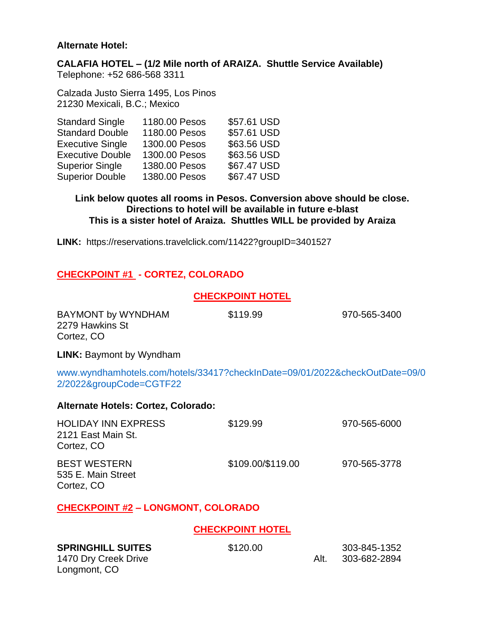#### **Alternate Hotel:**

Longmont, CO

**CALAFIA HOTEL – (1/2 Mile north of ARAIZA. Shuttle Service Available)** Telephone: +52 686-568 3311

Calzada Justo Sierra 1495, Los Pinos 21230 Mexicali, B.C.; Mexico

| <b>Standard Single</b>  | 1180.00 Pesos | \$57.61 USD |
|-------------------------|---------------|-------------|
| <b>Standard Double</b>  | 1180.00 Pesos | \$57.61 USD |
| <b>Executive Single</b> | 1300.00 Pesos | \$63.56 USD |
| <b>Executive Double</b> | 1300.00 Pesos | \$63.56 USD |
| <b>Superior Single</b>  | 1380.00 Pesos | \$67.47 USD |
| <b>Superior Double</b>  | 1380.00 Pesos | \$67.47 USD |

**Link below quotes all rooms in Pesos. Conversion above should be close. Directions to hotel will be available in future e-blast This is a sister hotel of Araiza. Shuttles WILL be provided by Araiza**

**LINK:** <https://reservations.travelclick.com/11422?groupID=3401527>

### **CHECKPOINT #1 - CORTEZ, COLORADO**

### **CHECKPOINT HOTEL**

| BAYMONT by WYNDHAM<br>2279 Hawkins St<br>Cortez, CO                                                    | \$119.99                | 970-565-3400 |
|--------------------------------------------------------------------------------------------------------|-------------------------|--------------|
| <b>LINK: Baymont by Wyndham</b>                                                                        |                         |              |
| www.wyndhamhotels.com/hotels/33417?checkInDate=09/01/2022&checkOutDate=09/0<br>2/2022&groupCode=CGTF22 |                         |              |
| Alternate Hotels: Cortez, Colorado:                                                                    |                         |              |
| <b>HOLIDAY INN EXPRESS</b><br>2121 East Main St.<br>Cortez, CO                                         | \$129.99                | 970-565-6000 |
| <b>BEST WESTERN</b><br>535 E. Main Street<br>Cortez, CO                                                | \$109.00/\$119.00       | 970-565-3778 |
| <b>CHECKPOINT #2 - LONGMONT, COLORADO</b>                                                              |                         |              |
|                                                                                                        | <b>CHECKPOINT HOTEL</b> |              |
| <b>SPRINGHILL SUITES</b>                                                                               | \$120.00                | 303-845-1352 |

1470 Dry Creek Drive **Alt.** 303-682-2894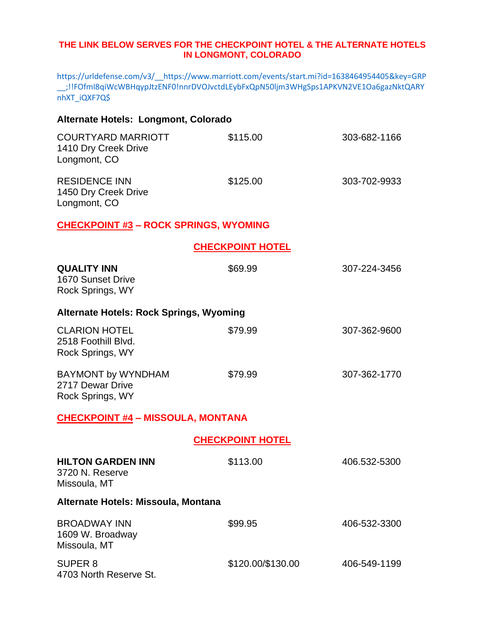#### **THE LINK BELOW SERVES FOR THE CHECKPOINT HOTEL & THE ALTERNATE HOTELS IN LONGMONT, COLORADO**

[https://urldefense.com/v3/\\_\\_https://www.marriott.com/events/start.mi?id=1638464954405&key=GRP](https://urldefense.com/v3/__https:/www.marriott.com/events/start.mi?id=1638464954405&key=GRP__;!!FOfmI8qiWcWBHqypJtzENF0!nnrDVOJvctdLEybFxQpN50ljm3WHgSps1APKVN2VE1Oa6gazNktQARYnhXT_iQXF7Q$) [\\_\\_;!!FOfmI8qiWcWBHqypJtzENF0!nnrDVOJvctdLEybFxQpN50ljm3WHgSps1APKVN2VE1Oa6gazNktQARY](https://urldefense.com/v3/__https:/www.marriott.com/events/start.mi?id=1638464954405&key=GRP__;!!FOfmI8qiWcWBHqypJtzENF0!nnrDVOJvctdLEybFxQpN50ljm3WHgSps1APKVN2VE1Oa6gazNktQARYnhXT_iQXF7Q$) [nhXT\\_iQXF7Q\\$](https://urldefense.com/v3/__https:/www.marriott.com/events/start.mi?id=1638464954405&key=GRP__;!!FOfmI8qiWcWBHqypJtzENF0!nnrDVOJvctdLEybFxQpN50ljm3WHgSps1APKVN2VE1Oa6gazNktQARYnhXT_iQXF7Q$)

| Alternate Hotels: Longmont, Colorado                              |                         |              |
|-------------------------------------------------------------------|-------------------------|--------------|
| <b>COURTYARD MARRIOTT</b><br>1410 Dry Creek Drive<br>Longmont, CO | \$115.00                | 303-682-1166 |
| <b>RESIDENCE INN</b><br>1450 Dry Creek Drive<br>Longmont, CO      | \$125.00                | 303-702-9933 |
| <b>CHECKPOINT #3 - ROCK SPRINGS, WYOMING</b>                      |                         |              |
|                                                                   | <b>CHECKPOINT HOTEL</b> |              |
| <b>QUALITY INN</b><br>1670 Sunset Drive<br>Rock Springs, WY       | \$69.99                 | 307-224-3456 |
| Alternate Hotels: Rock Springs, Wyoming                           |                         |              |
| <b>CLARION HOTEL</b><br>2518 Foothill Blvd.<br>Rock Springs, WY   | \$79.99                 | 307-362-9600 |
| <b>BAYMONT by WYNDHAM</b><br>2717 Dewar Drive<br>Rock Springs, WY | \$79.99                 | 307-362-1770 |
| <b>CHECKPOINT #4 - MISSOULA, MONTANA</b>                          |                         |              |
|                                                                   | <b>CHECKPOINT HOTEL</b> |              |
| <b>HILTON GARDEN INN</b><br>3720 N. Reserve<br>Missoula, MT       | \$113.00                | 406.532-5300 |
| Alternate Hotels: Missoula, Montana                               |                         |              |
| <b>BROADWAY INN</b><br>1609 W. Broadway<br>Missoula, MT           | \$99.95                 | 406-532-3300 |
| SUPER <sub>8</sub><br>4703 North Reserve St.                      | \$120.00/\$130.00       | 406-549-1199 |